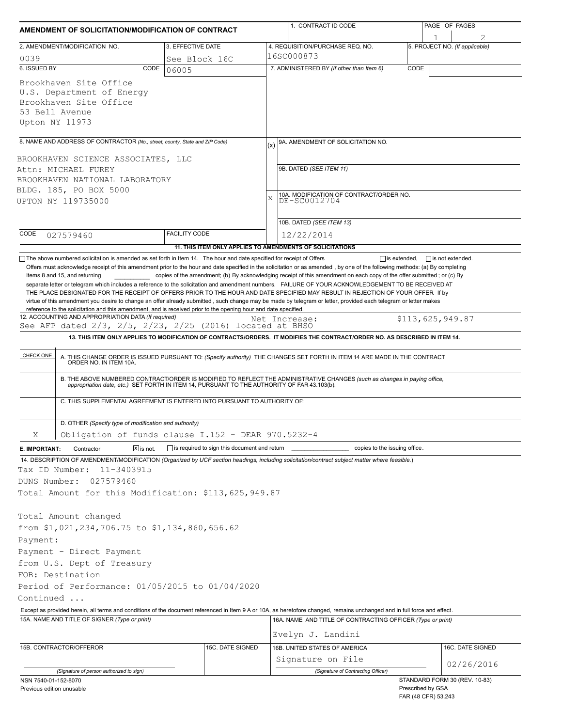| AMENDMENT OF SOLICITATION/MODIFICATION OF CONTRACT                                                                                                                                                                                                                                                                                                                                                     |                                                           |     | 1. CONTRACT ID CODE                                                                                                                                                                                                   |      | PAGE OF PAGES                            |                                |  |
|--------------------------------------------------------------------------------------------------------------------------------------------------------------------------------------------------------------------------------------------------------------------------------------------------------------------------------------------------------------------------------------------------------|-----------------------------------------------------------|-----|-----------------------------------------------------------------------------------------------------------------------------------------------------------------------------------------------------------------------|------|------------------------------------------|--------------------------------|--|
| 2. AMENDMENT/MODIFICATION NO.                                                                                                                                                                                                                                                                                                                                                                          | 3. EFFECTIVE DATE                                         |     | 4. REQUISITION/PURCHASE REQ. NO.                                                                                                                                                                                      |      |                                          | 5. PROJECT NO. (If applicable) |  |
| 0039                                                                                                                                                                                                                                                                                                                                                                                                   | See Block 16C                                             |     | 16SC000873                                                                                                                                                                                                            |      |                                          |                                |  |
| 6. ISSUED BY<br>CODE                                                                                                                                                                                                                                                                                                                                                                                   | 06005                                                     |     | 7. ADMINISTERED BY (If other than Item 6)                                                                                                                                                                             | CODE |                                          |                                |  |
| Brookhaven Site Office<br>U.S. Department of Energy<br>Brookhaven Site Office<br>53 Bell Avenue<br>Upton NY 11973                                                                                                                                                                                                                                                                                      |                                                           |     |                                                                                                                                                                                                                       |      |                                          |                                |  |
| 8. NAME AND ADDRESS OF CONTRACTOR (No., street, county, State and ZIP Code)                                                                                                                                                                                                                                                                                                                            |                                                           | (x) | 9A. AMENDMENT OF SOLICITATION NO.                                                                                                                                                                                     |      |                                          |                                |  |
|                                                                                                                                                                                                                                                                                                                                                                                                        |                                                           |     |                                                                                                                                                                                                                       |      |                                          |                                |  |
| BROOKHAVEN SCIENCE ASSOCIATES, LLC<br>Attn: MICHAEL FUREY                                                                                                                                                                                                                                                                                                                                              |                                                           |     | 9B. DATED (SEE ITEM 11)                                                                                                                                                                                               |      |                                          |                                |  |
| BROOKHAVEN NATIONAL LABORATORY                                                                                                                                                                                                                                                                                                                                                                         |                                                           |     |                                                                                                                                                                                                                       |      |                                          |                                |  |
| BLDG. 185, PO BOX 5000                                                                                                                                                                                                                                                                                                                                                                                 |                                                           |     | 10A. MODIFICATION OF CONTRACT/ORDER NO.                                                                                                                                                                               |      |                                          |                                |  |
| UPTON NY 119735000                                                                                                                                                                                                                                                                                                                                                                                     |                                                           | X   | DE-SC0012704                                                                                                                                                                                                          |      |                                          |                                |  |
|                                                                                                                                                                                                                                                                                                                                                                                                        |                                                           |     | 10B. DATED (SEE ITEM 13)                                                                                                                                                                                              |      |                                          |                                |  |
| CODE<br>027579460                                                                                                                                                                                                                                                                                                                                                                                      | <b>FACILITY CODE</b>                                      |     | 12/22/2014                                                                                                                                                                                                            |      |                                          |                                |  |
|                                                                                                                                                                                                                                                                                                                                                                                                        | 11. THIS ITEM ONLY APPLIES TO AMENDMENTS OF SOLICITATIONS |     |                                                                                                                                                                                                                       |      |                                          |                                |  |
| virtue of this amendment you desire to change an offer already submitted, such change may be made by telegram or letter, provided each telegram or letter makes<br>reference to the solicitation and this amendment, and is received prior to the opening hour and date specified.<br>12. ACCOUNTING AND APPROPRIATION DATA (If required)<br>See AFP dated 2/3, 2/5, 2/23, 2/25 (2016) located at BHSO |                                                           |     | Net Increase:<br>13. THIS ITEM ONLY APPLIES TO MODIFICATION OF CONTRACTS/ORDERS. IT MODIFIES THE CONTRACT/ORDER NO. AS DESCRIBED IN ITEM 14.                                                                          |      | \$113,625,949.87                         |                                |  |
| CHECK ONE                                                                                                                                                                                                                                                                                                                                                                                              |                                                           |     | A. THIS CHANGE ORDER IS ISSUED PURSUANT TO: (Specify authority) THE CHANGES SET FORTH IN ITEM 14 ARE MADE IN THE CONTRACT ORDER NO. IN ITEM 10A.                                                                      |      |                                          |                                |  |
|                                                                                                                                                                                                                                                                                                                                                                                                        |                                                           |     | B. THE ABOVE NUMBERED CONTRACT/ORDER IS MODIFIED TO REFLECT THE ADMINISTRATIVE CHANGES (such as changes in paying office, appropriation date, etc.) SET FORTH IN ITEM 14, PURSUANT TO THE AUTHORITY OF FAR 43.103(b). |      |                                          |                                |  |
| C. THIS SUPPLEMENTAL AGREEMENT IS ENTERED INTO PURSUANT TO AUTHORITY OF:                                                                                                                                                                                                                                                                                                                               |                                                           |     |                                                                                                                                                                                                                       |      |                                          |                                |  |
|                                                                                                                                                                                                                                                                                                                                                                                                        |                                                           |     |                                                                                                                                                                                                                       |      |                                          |                                |  |
| D. OTHER (Specify type of modification and authority)                                                                                                                                                                                                                                                                                                                                                  |                                                           |     |                                                                                                                                                                                                                       |      |                                          |                                |  |
| Obligation of funds clause I.152 - DEAR 970.5232-4<br>Χ                                                                                                                                                                                                                                                                                                                                                |                                                           |     |                                                                                                                                                                                                                       |      |                                          |                                |  |
| Contractor<br>$X$ is not.<br>E. IMPORTANT:                                                                                                                                                                                                                                                                                                                                                             | $\Box$ is required to sign this document and return       |     | copies to the issuing office.                                                                                                                                                                                         |      |                                          |                                |  |
| 14. DESCRIPTION OF AMENDMENT/MODIFICATION (Organized by UCF section headings, including solicitation/contract subject matter where feasible.)<br>11-3403915<br>Tax ID Number:                                                                                                                                                                                                                          |                                                           |     |                                                                                                                                                                                                                       |      |                                          |                                |  |
| DUNS Number:<br>027579460                                                                                                                                                                                                                                                                                                                                                                              |                                                           |     |                                                                                                                                                                                                                       |      |                                          |                                |  |
| Total Amount for this Modification: \$113,625,949.87                                                                                                                                                                                                                                                                                                                                                   |                                                           |     |                                                                                                                                                                                                                       |      |                                          |                                |  |
|                                                                                                                                                                                                                                                                                                                                                                                                        |                                                           |     |                                                                                                                                                                                                                       |      |                                          |                                |  |
| Total Amount changed                                                                                                                                                                                                                                                                                                                                                                                   |                                                           |     |                                                                                                                                                                                                                       |      |                                          |                                |  |
| from \$1,021,234,706.75 to \$1,134,860,656.62                                                                                                                                                                                                                                                                                                                                                          |                                                           |     |                                                                                                                                                                                                                       |      |                                          |                                |  |
| Payment:                                                                                                                                                                                                                                                                                                                                                                                               |                                                           |     |                                                                                                                                                                                                                       |      |                                          |                                |  |
| Payment - Direct Payment                                                                                                                                                                                                                                                                                                                                                                               |                                                           |     |                                                                                                                                                                                                                       |      |                                          |                                |  |
| from U.S. Dept of Treasury                                                                                                                                                                                                                                                                                                                                                                             |                                                           |     |                                                                                                                                                                                                                       |      |                                          |                                |  |
| FOB: Destination                                                                                                                                                                                                                                                                                                                                                                                       |                                                           |     |                                                                                                                                                                                                                       |      |                                          |                                |  |
| Period of Performance: 01/05/2015 to 01/04/2020                                                                                                                                                                                                                                                                                                                                                        |                                                           |     |                                                                                                                                                                                                                       |      |                                          |                                |  |
| Continued                                                                                                                                                                                                                                                                                                                                                                                              |                                                           |     |                                                                                                                                                                                                                       |      |                                          |                                |  |
| Except as provided herein, all terms and conditions of the document referenced in Item 9 A or 10A, as heretofore changed, remains unchanged and in full force and effect.<br>15A. NAME AND TITLE OF SIGNER (Type or print)                                                                                                                                                                             |                                                           |     | 16A. NAME AND TITLE OF CONTRACTING OFFICER (Type or print)                                                                                                                                                            |      |                                          |                                |  |
|                                                                                                                                                                                                                                                                                                                                                                                                        |                                                           |     |                                                                                                                                                                                                                       |      |                                          |                                |  |
|                                                                                                                                                                                                                                                                                                                                                                                                        |                                                           |     | Evelyn J. Landini                                                                                                                                                                                                     |      |                                          |                                |  |
| 15B. CONTRACTOR/OFFEROR                                                                                                                                                                                                                                                                                                                                                                                | 15C. DATE SIGNED                                          |     | 16B. UNITED STATES OF AMERICA                                                                                                                                                                                         |      |                                          | 16C. DATE SIGNED               |  |
|                                                                                                                                                                                                                                                                                                                                                                                                        |                                                           |     | Signature on File<br>(Signature of Contracting Officer)                                                                                                                                                               |      |                                          | 02/26/2016                     |  |
| (Signature of person authorized to sign)<br>NSN 7540-01-152-8070                                                                                                                                                                                                                                                                                                                                       |                                                           |     |                                                                                                                                                                                                                       |      |                                          | STANDARD FORM 30 (REV. 10-83)  |  |
| Previous edition unusable                                                                                                                                                                                                                                                                                                                                                                              |                                                           |     |                                                                                                                                                                                                                       |      | Prescribed by GSA<br>FAR (48 CFR) 53.243 |                                |  |